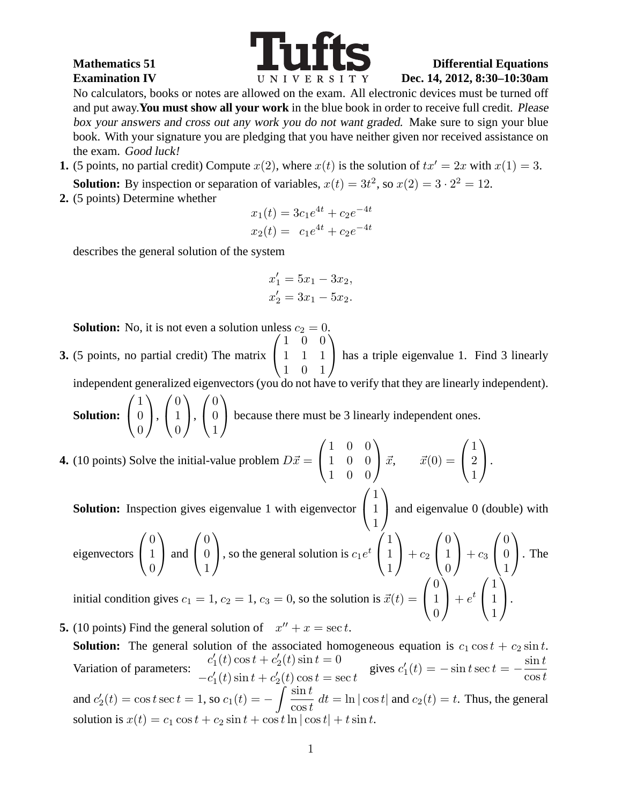

## **Mathematics 51 Differential Equations Examination IV Dec. 14, 2012, 8:30-10:30am**

No calculators, books or notes are allowed on the exam. All electronic devices must be turned off and put away.**You must show all your work** in the blue book in order to receive full credit. Please box your answers and cross out any work you do not want graded. Make sure to sign your blue book. With your signature you are pledging that you have neither given nor received assistance on the exam. Good luck!

**1.** (5 points, no partial credit) Compute  $x(2)$ , where  $x(t)$  is the solution of  $tx' = 2x$  with  $x(1) = 3$ .

**Solution:** By inspection or separation of variables,  $x(t) = 3t^2$ , so  $x(2) = 3 \cdot 2^2 = 12$ .

**2.** (5 points) Determine whether

$$
x_1(t) = 3c_1e^{4t} + c_2e^{-4t}
$$
  

$$
x_2(t) = c_1e^{4t} + c_2e^{-4t}
$$

describes the general solution of the system

$$
x_1' = 5x_1 - 3x_2,
$$
  

$$
x_2' = 3x_1 - 5x_2.
$$

**Solution:** No, it is not even a solution unless  $c_2 = 0$ .

**3.** (5 points, no partial credit) The matrix  $\sqrt{ }$  $\overline{1}$ 1 0 0 1 1 1 1 0 1  $\setminus$ has a triple eigenvalue 1. Find 3 linearly

independent generalized eigenvectors (you do not have to verify that they are linearly independent).  $\sqrt{ }$ 1  $\setminus$  $\sqrt{ }$  $\overline{0}$  $\setminus$  $\sqrt{ }$ 0  $\setminus$ 

**Solution:**  $\overline{1}$  $\theta$  $\theta$  $\vert$ ,  $\overline{1}$ 1  $\theta$  $\vert \cdot$  $\mathcal{L}$ 0 1 because there must be 3 linearly independent ones.  $\sqrt{ }$ 1 0 0  $\setminus$  $\sqrt{ }$ 1  $\setminus$ 

**4.** (10 points) Solve the initial-value problem  $D\vec{x} =$  $\mathcal{L}$ 1 0 0 1 0 0  $\int \vec{x}, \quad \vec{x}(0) =$  $\mathcal{L}$ 2 1  $\cdot$  $\sqrt{ }$ 1  $\setminus$ 

**Solution:** Inspection gives eigenvalue 1 with eigenvector  $\mathcal{L}$ 1 and eigenvalue 0 (double) with

eigenvectors 
$$
\begin{pmatrix} 0 \\ 1 \\ 0 \end{pmatrix}
$$
 and  $\begin{pmatrix} 0 \\ 0 \\ 1 \end{pmatrix}$ , so the general solution is  $c_1 e^t \begin{pmatrix} 1 \\ 1 \\ 1 \end{pmatrix} + c_2 \begin{pmatrix} 0 \\ 1 \\ 0 \end{pmatrix} + c_3 \begin{pmatrix} 0 \\ 0 \\ 1 \end{pmatrix}$ . The initial condition gives  $c_1 = 1$ ,  $c_2 = 1$ ,  $c_3 = 0$ , so the solution is  $\vec{x}(t) = \begin{pmatrix} 0 \\ 1 \\ 0 \end{pmatrix} + e^t \begin{pmatrix} 1 \\ 1 \\ 1 \end{pmatrix}$ .

- **5.** (10 points) Find the general solution of  $x'' + x = \sec t$ .
	- **Solution:** The general solution of the associated homogeneous equation is  $c_1 \cos t + c_2 \sin t$ . Variation of parameters:  $c_1'$  $y'_{1}(t)\cos t + c'_{2}$  $t'_{2}(t)$  sin  $t = 0$  $-c_1'$  $y'_{1}(t)$  sin  $t + c'_{2}$  $t_2(t)$  cos  $t = \sec t$ gives  $c_1'$  $t_1'(t) = -\sin t \sec t = \sin t$  $\cos t$ and  $c_2'$  $Z_2(t) = \cos t \sec t = 1$ , so  $c_1(t) = -\int \frac{\sin t}{\cos t}$  $\frac{\sin t}{\cos t}$  dt = ln  $|\cos t|$  and  $c_2(t) = t$ . Thus, the general solution is  $x(t) = c_1 \cos t + c_2 \sin t + \cos t \ln |\cos t| + t \sin t$ .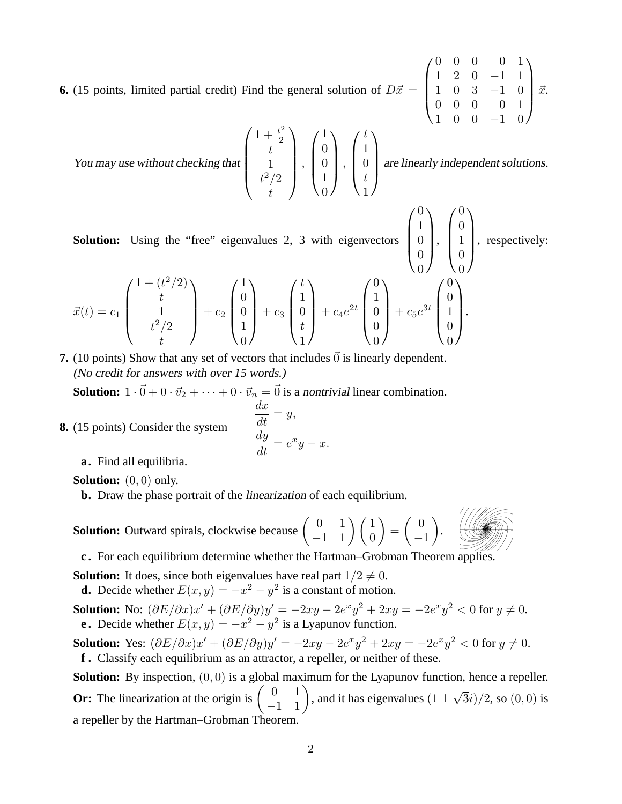**6.** (15 points, limited partial credit) Find the general solution of  $D\vec{x} =$  $\overline{\phantom{a}}$ 

 $1 \t0 \t0 \t-1 \t0$ You may use without checking that  $\sqrt{ }$  $\overline{\phantom{a}}$  $1 + \frac{t^2}{2}$  $t^2$ 1  $t^2/2$ t  $\setminus$  $\begin{matrix} \phantom{-} \\ \phantom{-} \end{matrix}$ ,  $\sqrt{ }$  $\overline{\phantom{a}}$ 1  $\theta$  $\theta$ 1  $\overline{0}$  $\setminus$  $\Bigg\}$ ,  $\sqrt{ }$  $\overline{\phantom{a}}$ t 1  $\theta$ t 1  $\setminus$ are linearly independent solutions.

**Solution:** Using the "free" eigenvalues 2, 3 with eigenvectors  $\vert$ 

, respectively:

 $\sqrt{ }$ 

 $\sqrt{ }$ 

 $\theta$ 1  $\theta$  $\theta$ 

 $\setminus$ 

 $\sqrt{ }$ 

 $\setminus$ 

 $\Bigg\}$ 

 $\vert$ 

 $\Bigg\}$ 

0 0 0 0 1 1 2 0 −1 1 1 0 3 −1 0 0 0 0 0 1

 $\setminus$ 

 $\left| \vec{x} \right|$ 

$$
\vec{x}(t) = c_1 \begin{pmatrix} 1 + (t^2/2) \\ t \\ 1 \\ t^2/2 \\ t \end{pmatrix} + c_2 \begin{pmatrix} 1 \\ 0 \\ 0 \\ 1 \\ 0 \end{pmatrix} + c_3 \begin{pmatrix} t \\ 1 \\ 0 \\ t \\ 1 \end{pmatrix} + c_4 e^{2t} \begin{pmatrix} 0 \\ 1 \\ 0 \\ 0 \\ 0 \end{pmatrix} + c_5 e^{3t} \begin{pmatrix} 0 \\ 0 \\ 1 \\ 0 \\ 0 \end{pmatrix}.
$$

**7.** (10 points) Show that any set of vectors that includes  $\vec{0}$  is linearly dependent. (No credit for answers with over <sup>15</sup> words.)

**Solution:**  $1 \cdot \vec{0} + 0 \cdot \vec{v}_2 + \cdots + 0 \cdot \vec{v}_n = \vec{0}$  is a nontrivial linear combination.

$$
\frac{dx}{dt} = y,
$$

$$
\frac{dy}{dt} = e^x y -
$$

 $x.$ 

**a.** Find all equilibria.

**8.** (15 points) Consider the system

**Solution:** (0, 0) only.

**b.** Draw the phase portrait of the linearization of each equilibrium.

**Solution:** Outward spirals, clockwise because  $\begin{pmatrix} 0 & 1 \\ -1 & 1 \end{pmatrix} \begin{pmatrix} 1 & 0 \\ 0 & 1 \end{pmatrix}$  $\setminus$ =  $\begin{pmatrix} 0 \\ 0 \end{pmatrix}$ −1 .



**c .** For each equilibrium determine whether the Hartman–Grobman Theorem applies.

**Solution:** It does, since both eigenvalues have real part  $1/2 \neq 0$ .

**d.** Decide whether  $E(x, y) = -x^2 - y^2$  is a constant of motion.

**Solution:** No:  $(\partial E/\partial x)x' + (\partial E/\partial y)y' = -2xy - 2e^x y^2 + 2xy = -2e^x y^2 < 0$  for  $y \neq 0$ . **e.** Decide whether  $E(x, y) = -x^2 - y^2$  is a Lyapunov function.

**Solution:** Yes:  $(\partial E/\partial x)x' + (\partial E/\partial y)y' = -2xy - 2e^x y^2 + 2xy = -2e^x y^2 < 0$  for  $y \neq 0$ . **f .** Classify each equilibrium as an attractor, a repeller, or neither of these.

**Solution:** By inspection,  $(0, 0)$  is a global maximum for the Lyapunov function, hence a repeller. **Or:** The linearization at the origin is  $\begin{pmatrix} 0 & 1 \\ -1 & 1 \end{pmatrix}$ , and it has eigenvalues  $(1 \pm \sqrt{3}i)/2$ , so  $(0, 0)$  is a repeller by the Hartman–Grobman Theorem.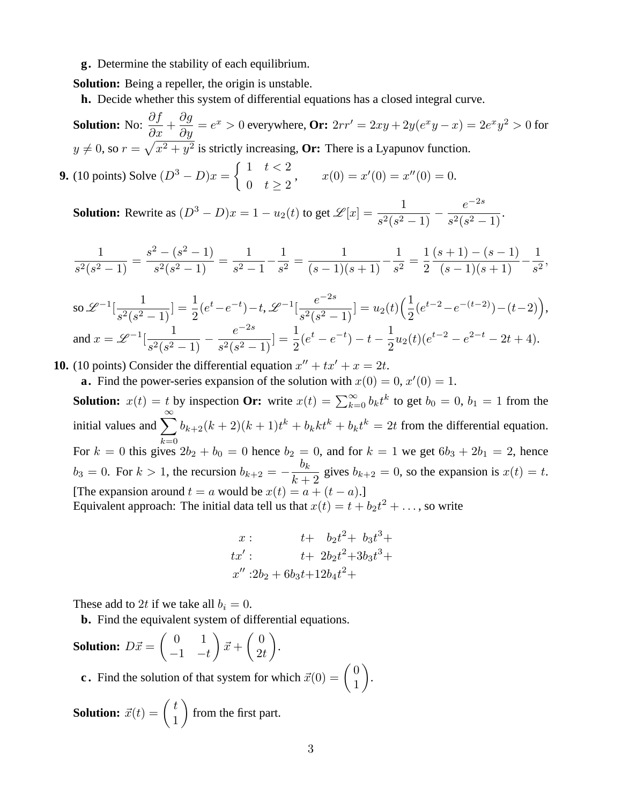## **g.** Determine the stability of each equilibrium.

**Solution:** Being a repeller, the origin is unstable.

**h.** Decide whether this system of differential equations has a closed integral curve.

**Solution:** No:  $\frac{\partial f}{\partial x}$  $rac{\delta y}{\partial x} +$  $\partial g$  $\frac{\partial g}{\partial y} = e^x > 0$  everywhere,  $\mathbf{O}$ r:  $2rr' = 2xy + 2y(e^x y - x) = 2e^x y^2 > 0$  for  $y \neq 0$ , so  $r = \sqrt{x^2 + y^2}$  is strictly increasing, **Or:** There is a Lyapunov function.

**9.** (10 points) Solve  $(D^3 - D)x = \begin{cases} 1 & t < 2 \\ 0 & t > 2 \end{cases}$ 0  $t \geq 2$  $x(0) = x'(0) = x''(0) = 0.$ 

**Solution:** Rewrite as  $(D^3 - D)x = 1 - u_2(t)$  to get  $\mathcal{L}[x] = \frac{1}{s^2(s^2 - 1)}$  –  $e^{-2s}$  $\frac{e}{s^2(s^2-1)}$ .

$$
\frac{1}{s^2(s^2-1)} = \frac{s^2-(s^2-1)}{s^2(s^2-1)} = \frac{1}{s^2-1} - \frac{1}{s^2} = \frac{1}{(s-1)(s+1)} - \frac{1}{s^2} = \frac{1}{2} \frac{(s+1)-(s-1)}{(s-1)(s+1)} - \frac{1}{s^2},
$$

$$
\text{so } \mathcal{L}^{-1}[\frac{1}{s^2(s^2-1)}] = \frac{1}{2}(e^t - e^{-t}) - t, \mathcal{L}^{-1}[\frac{e^{-2s}}{s^2(s^2-1)}] = u_2(t)\Big(\frac{1}{2}(e^{t-2} - e^{-(t-2)}) - (t-2)\Big),
$$
  
and  $x = \mathcal{L}^{-1}[\frac{1}{s^2(s^2-1)} - \frac{e^{-2s}}{s^2(s^2-1)}] = \frac{1}{2}(e^t - e^{-t}) - t - \frac{1}{2}u_2(t)(e^{t-2} - e^{2-t} - 2t + 4).$ 

**10.** (10 points) Consider the differential equation  $x'' + tx' + x = 2t$ .

**a.** Find the power-series expansion of the solution with  $x(0) = 0, x'(0) = 1$ . **Solution:**  $x(t) = t$  by inspection **Or:** write  $x(t) = \sum_{k=0}^{\infty} b_k t^k$  to get  $b_0 = 0$ ,  $b_1 = 1$  from the initial values and  $\sum_{k=2}^{\infty} b_{k+2}(k+2)(k+1)t^k + b_k t^k + b_k t^k = 2t$  from the differential equation.  $k=0$ For  $k = 0$  this gives  $2b_2 + b_0 = 0$  hence  $b_2 = 0$ , and for  $k = 1$  we get  $6b_3 + 2b_1 = 2$ , hence  $b_3 = 0$ . For  $k > 1$ , the recursion  $b_{k+2} = -\frac{b_k}{k+1}$  $\frac{\partial k}{\partial k+2}$  gives  $b_{k+2} = 0$ , so the expansion is  $x(t) = t$ . [The expansion around  $t = a$  would be  $x(t) = a + (t - a)$ .] Equivalent approach: The initial data tell us that  $x(t) = t + b_2 t^2 + \dots$ , so write

$$
x: \t t + b_2t^2 + b_3t^3 +\ntx': \t t + 2b_2t^2 + 3b_3t^3 +\nx'' : 2b_2 + 6b_3t + 12b_4t^2 +
$$

These add to 2t if we take all  $b_i = 0$ .

**b.** Find the equivalent system of differential equations.

Solution: 
$$
D\vec{x} = \begin{pmatrix} 0 & 1 \\ -1 & -t \end{pmatrix} \vec{x} + \begin{pmatrix} 0 \\ 2t \end{pmatrix}.
$$

**c**. Find the solution of that system for which  $\vec{x}(0) = \begin{pmatrix} 0 \\ 1 \end{pmatrix}$ 1 .

**Solution:**  $\vec{x}(t) = \begin{pmatrix} t \\ 1 \end{pmatrix}$ 1 from the first part.